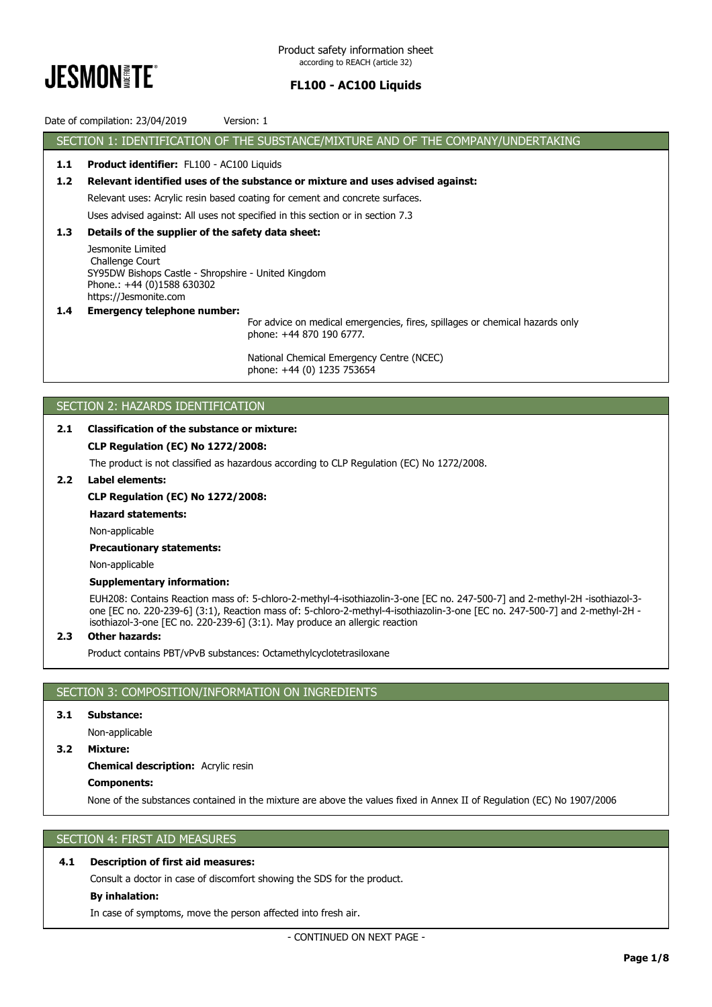

Date of compilation: 23/04/2019 Version: 1

SECTION 1: IDENTIFICATION OF THE SUBSTANCE/MIXTURE AND OF THE COMPANY/UNDERTAKING **1.1 Product identifier:** FL100 - AC100 Liquids **1.2 Relevant identified uses of the substance or mixture and uses advised against:** Relevant uses: Acrylic resin based coating for cement and concrete surfaces. Uses advised against: All uses not specified in this section or in section 7.3 **1.3 Details of the supplier of the safety data sheet:** Jesmonite Limited Challenge Court SY95DW Bishops Castle - Shropshire - United Kingdom Phone.: +44 (0)1588 630302 https://Jesmonite.com **1.4 Emergency telephone number:**

For advice on medical emergencies, fires, spillages or chemical hazards only phone: +44 870 190 6777.

National Chemical Emergency Centre (NCEC) phone: +44 (0) 1235 753654

# SECTION 2: HAZARDS IDENTIFICATION

# **2.1 Classification of the substance or mixture:**

# **CLP Regulation (EC) No 1272/2008:**

The product is not classified as hazardous according to CLP Regulation (EC) No 1272/2008.

# **2.2 Label elements:**

## **CLP Regulation (EC) No 1272/2008:**

## **Hazard statements:**

Non-applicable

## **Precautionary statements:**

Non-applicable

## **Supplementary information:**

EUH208: Contains Reaction mass of: 5-chloro-2-methyl-4-isothiazolin-3-one [EC no. 247-500-7] and 2-methyl-2H -isothiazol-3 one [EC no. 220-239-6] (3:1), Reaction mass of: 5-chloro-2-methyl-4-isothiazolin-3-one [EC no. 247-500-7] and 2-methyl-2H isothiazol-3-one [EC no. 220-239-6] (3:1). May produce an allergic reaction

## **2.3 Other hazards:**

Product contains PBT/vPvB substances: Octamethylcyclotetrasiloxane

# SECTION 3: COMPOSITION/INFORMATION ON INGREDIENTS

# **3.1 Substance:**

Non-applicable

## **3.2 Mixture:**

# **Chemical description:** Acrylic resin

**Components:**

None of the substances contained in the mixture are above the values fixed in Annex II of Regulation (EC) No 1907/2006

# SECTION 4: FIRST AID MEASURES

# **4.1 Description of first aid measures:**

Consult a doctor in case of discomfort showing the SDS for the product.

# **By inhalation:**

In case of symptoms, move the person affected into fresh air.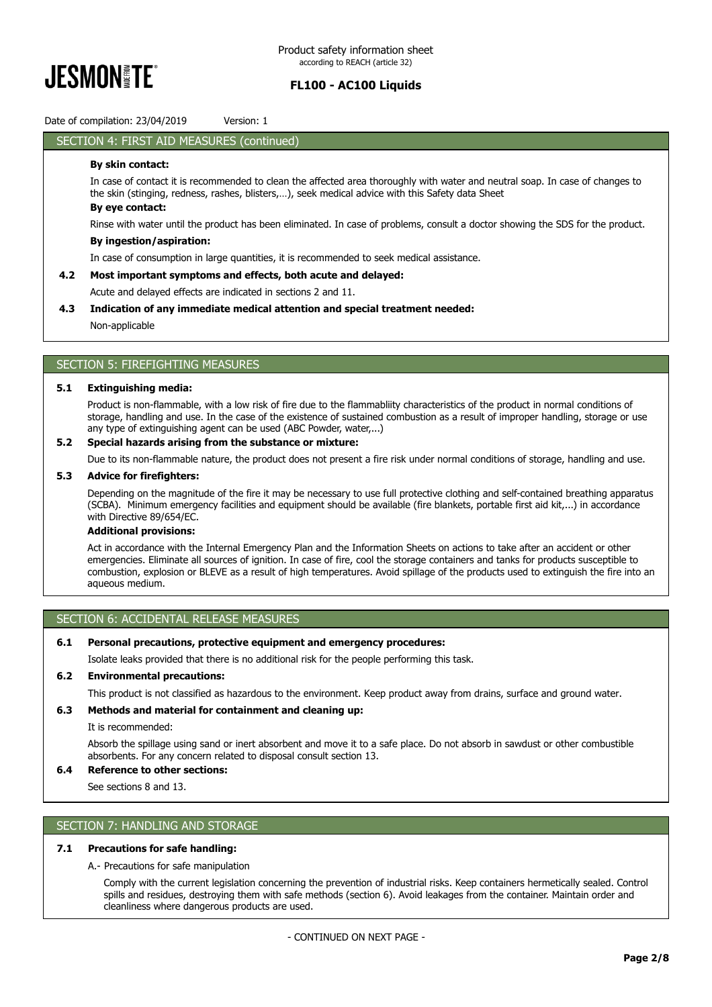

Date of compilation: 23/04/2019 Version: 1

# SECTION 4: FIRST AID MEASURES (continued)

# **By skin contact:**

In case of contact it is recommended to clean the affected area thoroughly with water and neutral soap. In case of changes to the skin (stinging, redness, rashes, blisters,…), seek medical advice with this Safety data Sheet

# **By eye contact:**

Rinse with water until the product has been eliminated. In case of problems, consult a doctor showing the SDS for the product.

## **By ingestion/aspiration:**

In case of consumption in large quantities, it is recommended to seek medical assistance.

## **4.2 Most important symptoms and effects, both acute and delayed:**

Acute and delayed effects are indicated in sections 2 and 11.

## **4.3 Indication of any immediate medical attention and special treatment needed:**

Non-applicable

# SECTION 5: FIREFIGHTING MEASURES

#### **5.1 Extinguishing media:**

Product is non-flammable, with a low risk of fire due to the flammabliity characteristics of the product in normal conditions of storage, handling and use. In the case of the existence of sustained combustion as a result of improper handling, storage or use any type of extinguishing agent can be used (ABC Powder, water,...)

## **5.2 Special hazards arising from the substance or mixture:**

Due to its non-flammable nature, the product does not present a fire risk under normal conditions of storage, handling and use.

## **5.3 Advice for firefighters:**

Depending on the magnitude of the fire it may be necessary to use full protective clothing and self-contained breathing apparatus (SCBA). Minimum emergency facilities and equipment should be available (fire blankets, portable first aid kit,...) in accordance with Directive 89/654/EC.

#### **Additional provisions:**

Act in accordance with the Internal Emergency Plan and the Information Sheets on actions to take after an accident or other emergencies. Eliminate all sources of ignition. In case of fire, cool the storage containers and tanks for products susceptible to combustion, explosion or BLEVE as a result of high temperatures. Avoid spillage of the products used to extinguish the fire into an aqueous medium.

## SECTION 6: ACCIDENTAL RELEASE MEASURES

## **6.1 Personal precautions, protective equipment and emergency procedures:**

Isolate leaks provided that there is no additional risk for the people performing this task.

## **6.2 Environmental precautions:**

This product is not classified as hazardous to the environment. Keep product away from drains, surface and ground water.

#### **6.3 Methods and material for containment and cleaning up:**

#### It is recommended:

Absorb the spillage using sand or inert absorbent and move it to a safe place. Do not absorb in sawdust or other combustible absorbents. For any concern related to disposal consult section 13.

# **6.4 Reference to other sections:**

See sections 8 and 13.

# SECTION 7: HANDLING AND STORAGE

# **7.1 Precautions for safe handling:**

A.- Precautions for safe manipulation

Comply with the current legislation concerning the prevention of industrial risks. Keep containers hermetically sealed. Control spills and residues, destroying them with safe methods (section 6). Avoid leakages from the container. Maintain order and cleanliness where dangerous products are used.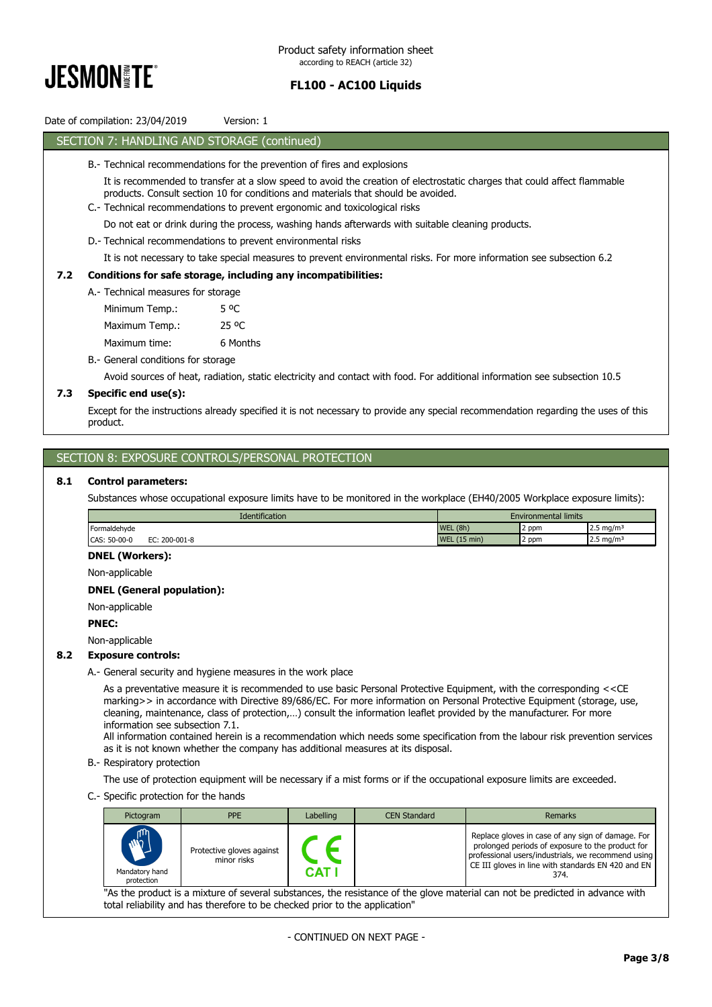

# Date of compilation: 23/04/2019 Version: 1

# SECTION 7: HANDLING AND STORAGE (continued)

- B.- Technical recommendations for the prevention of fires and explosions
	- It is recommended to transfer at a slow speed to avoid the creation of electrostatic charges that could affect flammable products. Consult section 10 for conditions and materials that should be avoided.
	- C.- Technical recommendations to prevent ergonomic and toxicological risks

Do not eat or drink during the process, washing hands afterwards with suitable cleaning products.

D.- Technical recommendations to prevent environmental risks

It is not necessary to take special measures to prevent environmental risks. For more information see subsection 6.2

# **7.2 Conditions for safe storage, including any incompatibilities:**

A.- Technical measures for storage Minimum Temp.: 5 °C Maximum Temp.: 25 °C Maximum time: 6 Months

B.- General conditions for storage

Avoid sources of heat, radiation, static electricity and contact with food. For additional information see subsection 10.5

# **7.3 Specific end use(s):**

Except for the instructions already specified it is not necessary to provide any special recommendation regarding the uses of this product.

# SECTION 8: EXPOSURE CONTROLS/PERSONAL PROTECTION

## **8.1 Control parameters:**

Substances whose occupational exposure limits have to be monitored in the workplace (EH40/2005 Workplace exposure limits):

| <b>Identification</b>                          | <b>Environmental limits</b>                                                        |
|------------------------------------------------|------------------------------------------------------------------------------------|
| Formaldehyde                                   | WEL (8h)<br>$2.5 \text{ mg/m}^3$<br>2 ppm                                          |
| CAS:<br>$50 - 00 - 0$<br>F٢<br>200-001-8<br>-~ | (1)<br>NA/F<br>$(15 \text{ min})$<br>$12.5 \text{ mg/m}^3$<br>2 ppm<br><b>VVLL</b> |

## **DNEL (Workers):**

Non-applicable

# **DNEL (General population):**

Non-applicable

#### **PNEC:**

Non-applicable

#### **8.2 Exposure controls:**

A.- General security and hygiene measures in the work place

As a preventative measure it is recommended to use basic Personal Protective Equipment, with the corresponding <<CE marking>> in accordance with Directive 89/686/EC. For more information on Personal Protective Equipment (storage, use, cleaning, maintenance, class of protection,…) consult the information leaflet provided by the manufacturer. For more information see subsection 7.1.

All information contained herein is a recommendation which needs some specification from the labour risk prevention services as it is not known whether the company has additional measures at its disposal.

B.- Respiratory protection

The use of protection equipment will be necessary if a mist forms or if the occupational exposure limits are exceeded.

C.- Specific protection for the hands

| Pictogram                                                                                                                     | <b>PPE</b>                               | Labelling    | <b>CEN Standard</b> | Remarks                                                                                                                                                                                                                   |
|-------------------------------------------------------------------------------------------------------------------------------|------------------------------------------|--------------|---------------------|---------------------------------------------------------------------------------------------------------------------------------------------------------------------------------------------------------------------------|
| $\mathsf{I}$ ال<br>$\overline{w}$<br>Mandatory hand<br>protection                                                             | Protective gloves against<br>minor risks | <b>CAT I</b> |                     | Replace gloves in case of any sign of damage. For<br>prolonged periods of exposure to the product for<br>professional users/industrials, we recommend using<br>CE III gloves in line with standards EN 420 and EN<br>374. |
| "As the product is a mixture of several substances, the resistance of the glove material can not be predicted in advance with |                                          |              |                     |                                                                                                                                                                                                                           |

total reliability and has therefore to be checked prior to the application"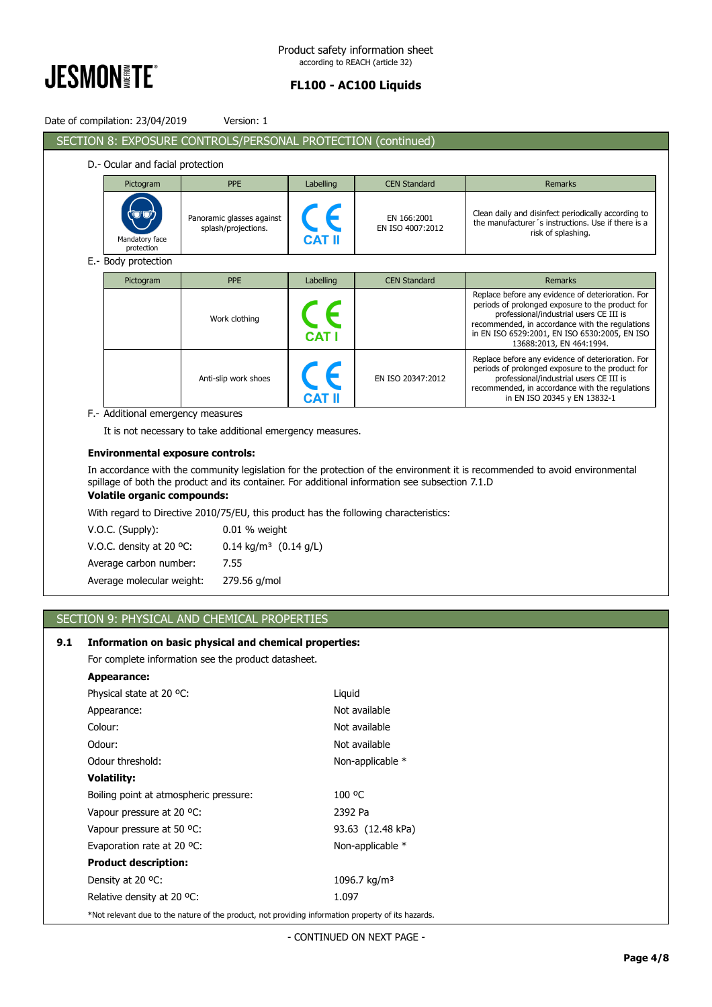

ı

# **FL100 - AC100 Liquids**

|     | Date of compilation: 23/04/2019                                                                                                                                                                                                                                                                                                                                                                                                                                                                                                                                                                  | Version: 1                                                   |           |                                 |                                                                                                                                                                                                                                                                                  |  |
|-----|--------------------------------------------------------------------------------------------------------------------------------------------------------------------------------------------------------------------------------------------------------------------------------------------------------------------------------------------------------------------------------------------------------------------------------------------------------------------------------------------------------------------------------------------------------------------------------------------------|--------------------------------------------------------------|-----------|---------------------------------|----------------------------------------------------------------------------------------------------------------------------------------------------------------------------------------------------------------------------------------------------------------------------------|--|
|     |                                                                                                                                                                                                                                                                                                                                                                                                                                                                                                                                                                                                  | SECTION 8: EXPOSURE CONTROLS/PERSONAL PROTECTION (continued) |           |                                 |                                                                                                                                                                                                                                                                                  |  |
|     | D.- Ocular and facial protection                                                                                                                                                                                                                                                                                                                                                                                                                                                                                                                                                                 |                                                              |           |                                 |                                                                                                                                                                                                                                                                                  |  |
|     | Pictogram                                                                                                                                                                                                                                                                                                                                                                                                                                                                                                                                                                                        | <b>PPE</b>                                                   | Labelling | <b>CEN Standard</b>             | <b>Remarks</b>                                                                                                                                                                                                                                                                   |  |
|     | Mandatory face<br>protection                                                                                                                                                                                                                                                                                                                                                                                                                                                                                                                                                                     | Panoramic glasses against<br>splash/projections.             |           | EN 166:2001<br>EN ISO 4007:2012 | Clean daily and disinfect periodically according to<br>the manufacturer's instructions. Use if there is a<br>risk of splashing.                                                                                                                                                  |  |
|     | E.- Body protection                                                                                                                                                                                                                                                                                                                                                                                                                                                                                                                                                                              |                                                              |           |                                 |                                                                                                                                                                                                                                                                                  |  |
|     | Pictogram                                                                                                                                                                                                                                                                                                                                                                                                                                                                                                                                                                                        | <b>PPE</b>                                                   | Labelling | <b>CEN Standard</b>             | <b>Remarks</b>                                                                                                                                                                                                                                                                   |  |
|     |                                                                                                                                                                                                                                                                                                                                                                                                                                                                                                                                                                                                  | Work clothing                                                |           |                                 | Replace before any evidence of deterioration. For<br>periods of prolonged exposure to the product for<br>professional/industrial users CE III is<br>recommended, in accordance with the regulations<br>in EN ISO 6529:2001, EN ISO 6530:2005, EN ISO<br>13688:2013, EN 464:1994. |  |
|     |                                                                                                                                                                                                                                                                                                                                                                                                                                                                                                                                                                                                  | Anti-slip work shoes                                         |           | EN ISO 20347:2012               | Replace before any evidence of deterioration. For<br>periods of prolonged exposure to the product for<br>professional/industrial users CE III is<br>recommended, in accordance with the regulations<br>in EN ISO 20345 y EN 13832-1                                              |  |
|     | F.- Additional emergency measures                                                                                                                                                                                                                                                                                                                                                                                                                                                                                                                                                                |                                                              |           |                                 |                                                                                                                                                                                                                                                                                  |  |
|     |                                                                                                                                                                                                                                                                                                                                                                                                                                                                                                                                                                                                  | It is not necessary to take additional emergency measures.   |           |                                 |                                                                                                                                                                                                                                                                                  |  |
|     | <b>Environmental exposure controls:</b><br>In accordance with the community legislation for the protection of the environment it is recommended to avoid environmental<br>spillage of both the product and its container. For additional information see subsection 7.1.D<br><b>Volatile organic compounds:</b><br>With regard to Directive 2010/75/EU, this product has the following characteristics:<br>V.O.C. (Supply):<br>0.01 % weight<br>$0.14$ kg/m <sup>3</sup> $(0.14$ g/L)<br>V.O.C. density at 20 °C:<br>Average carbon number:<br>7.55<br>Average molecular weight:<br>279.56 g/mol |                                                              |           |                                 |                                                                                                                                                                                                                                                                                  |  |
|     |                                                                                                                                                                                                                                                                                                                                                                                                                                                                                                                                                                                                  | SECTION 9: PHYSICAL AND CHEMICAL PROPERTIES                  |           |                                 |                                                                                                                                                                                                                                                                                  |  |
|     |                                                                                                                                                                                                                                                                                                                                                                                                                                                                                                                                                                                                  |                                                              |           |                                 |                                                                                                                                                                                                                                                                                  |  |
| 9.1 |                                                                                                                                                                                                                                                                                                                                                                                                                                                                                                                                                                                                  | Information on basic physical and chemical properties:       |           |                                 |                                                                                                                                                                                                                                                                                  |  |
|     | <b>Appearance:</b>                                                                                                                                                                                                                                                                                                                                                                                                                                                                                                                                                                               | For complete information see the product datasheet.          |           |                                 |                                                                                                                                                                                                                                                                                  |  |
|     | Physical state at 20 °C:                                                                                                                                                                                                                                                                                                                                                                                                                                                                                                                                                                         |                                                              | Liquid    |                                 |                                                                                                                                                                                                                                                                                  |  |
|     | Appearance:                                                                                                                                                                                                                                                                                                                                                                                                                                                                                                                                                                                      |                                                              |           | Not available                   |                                                                                                                                                                                                                                                                                  |  |
|     | Colour:                                                                                                                                                                                                                                                                                                                                                                                                                                                                                                                                                                                          |                                                              |           | Not available                   |                                                                                                                                                                                                                                                                                  |  |
|     | Odour:                                                                                                                                                                                                                                                                                                                                                                                                                                                                                                                                                                                           |                                                              |           | Not available                   |                                                                                                                                                                                                                                                                                  |  |
|     | Odour threshold:                                                                                                                                                                                                                                                                                                                                                                                                                                                                                                                                                                                 |                                                              |           | Non-applicable *                |                                                                                                                                                                                                                                                                                  |  |
|     | <b>Volatility:</b>                                                                                                                                                                                                                                                                                                                                                                                                                                                                                                                                                                               |                                                              |           |                                 |                                                                                                                                                                                                                                                                                  |  |
|     | Boiling point at atmospheric pressure:                                                                                                                                                                                                                                                                                                                                                                                                                                                                                                                                                           |                                                              | 100 °C    |                                 |                                                                                                                                                                                                                                                                                  |  |
|     | Vapour pressure at 20 °C:                                                                                                                                                                                                                                                                                                                                                                                                                                                                                                                                                                        |                                                              |           | 2392 Pa                         |                                                                                                                                                                                                                                                                                  |  |
|     | Vapour pressure at 50 °C:                                                                                                                                                                                                                                                                                                                                                                                                                                                                                                                                                                        |                                                              |           | 93.63 (12.48 kPa)               |                                                                                                                                                                                                                                                                                  |  |
|     | Evaporation rate at 20 °C:                                                                                                                                                                                                                                                                                                                                                                                                                                                                                                                                                                       |                                                              |           | Non-applicable *                |                                                                                                                                                                                                                                                                                  |  |
|     | <b>Product description:</b>                                                                                                                                                                                                                                                                                                                                                                                                                                                                                                                                                                      |                                                              |           |                                 |                                                                                                                                                                                                                                                                                  |  |
|     | Density at 20 °C:                                                                                                                                                                                                                                                                                                                                                                                                                                                                                                                                                                                |                                                              |           | 1096.7 kg/m <sup>3</sup>        |                                                                                                                                                                                                                                                                                  |  |
|     | Relative density at 20 °C:                                                                                                                                                                                                                                                                                                                                                                                                                                                                                                                                                                       |                                                              | 1.097     |                                 |                                                                                                                                                                                                                                                                                  |  |
|     | *Not relevant due to the nature of the product, not providing information property of its hazards.                                                                                                                                                                                                                                                                                                                                                                                                                                                                                               |                                                              |           |                                 |                                                                                                                                                                                                                                                                                  |  |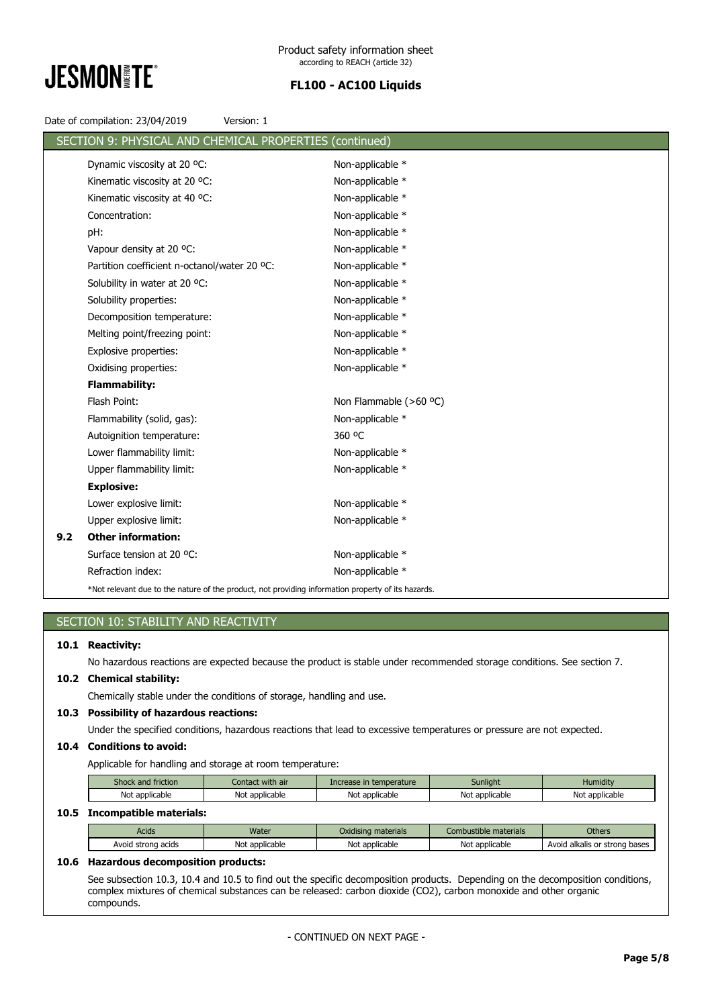

| Date of compilation: 23/04/2019 | Version: 1 |  |
|---------------------------------|------------|--|
|---------------------------------|------------|--|

|     | SECTION 9: PHYSICAL AND CHEMICAL PROPERTIES (continued)                                            |                        |
|-----|----------------------------------------------------------------------------------------------------|------------------------|
|     | Dynamic viscosity at 20 °C:                                                                        | Non-applicable *       |
|     | Kinematic viscosity at 20 °C:                                                                      | Non-applicable *       |
|     | Kinematic viscosity at 40 °C:                                                                      | Non-applicable *       |
|     | Concentration:                                                                                     | Non-applicable *       |
|     | pH:                                                                                                | Non-applicable *       |
|     | Vapour density at 20 °C:                                                                           | Non-applicable *       |
|     | Partition coefficient n-octanol/water 20 °C:                                                       | Non-applicable *       |
|     | Solubility in water at 20 °C:                                                                      | Non-applicable *       |
|     | Solubility properties:                                                                             | Non-applicable *       |
|     | Decomposition temperature:                                                                         | Non-applicable *       |
|     | Melting point/freezing point:                                                                      | Non-applicable *       |
|     | Explosive properties:                                                                              | Non-applicable *       |
|     | Oxidising properties:                                                                              | Non-applicable *       |
|     | <b>Flammability:</b>                                                                               |                        |
|     | Flash Point:                                                                                       | Non Flammable (>60 °C) |
|     | Flammability (solid, gas):                                                                         | Non-applicable *       |
|     | Autoignition temperature:                                                                          | 360 °C                 |
|     | Lower flammability limit:                                                                          | Non-applicable *       |
|     | Upper flammability limit:                                                                          | Non-applicable *       |
|     | <b>Explosive:</b>                                                                                  |                        |
|     | Lower explosive limit:                                                                             | Non-applicable *       |
|     | Upper explosive limit:                                                                             | Non-applicable *       |
| 9.2 | <b>Other information:</b>                                                                          |                        |
|     | Surface tension at 20 °C:                                                                          | Non-applicable *       |
|     | Refraction index:                                                                                  | Non-applicable *       |
|     | *Not relevant due to the nature of the product, not providing information property of its hazards. |                        |

# SECTION 10: STABILITY AND REACTIVITY

#### **10.1 Reactivity:**

No hazardous reactions are expected because the product is stable under recommended storage conditions. See section 7.

# **10.2 Chemical stability:**

Chemically stable under the conditions of storage, handling and use.

# **10.3 Possibility of hazardous reactions:**

Under the specified conditions, hazardous reactions that lead to excessive temperatures or pressure are not expected.

# **10.4 Conditions to avoid:**

Applicable for handling and storage at room temperature:

| Shock and friction | Contact with air | Increase in temperature | Sunlight       | Humidity       |
|--------------------|------------------|-------------------------|----------------|----------------|
| Not applicable     | Not applicable   | Not applicable          | Not applicable | Not applicable |

# **10.5 Incompatible materials:**

| Acids              | Water          | Oxidising materials | Combustible materials | <b>Others</b>                 |  |  |
|--------------------|----------------|---------------------|-----------------------|-------------------------------|--|--|
| Avoid strong acids | Not applicable | Not applicable      | Not applicable        | Avoid alkalis or strong bases |  |  |
|                    |                |                     |                       |                               |  |  |

# **10.6 Hazardous decomposition products:**

See subsection 10.3, 10.4 and 10.5 to find out the specific decomposition products. Depending on the decomposition conditions, complex mixtures of chemical substances can be released: carbon dioxide (CO2), carbon monoxide and other organic compounds.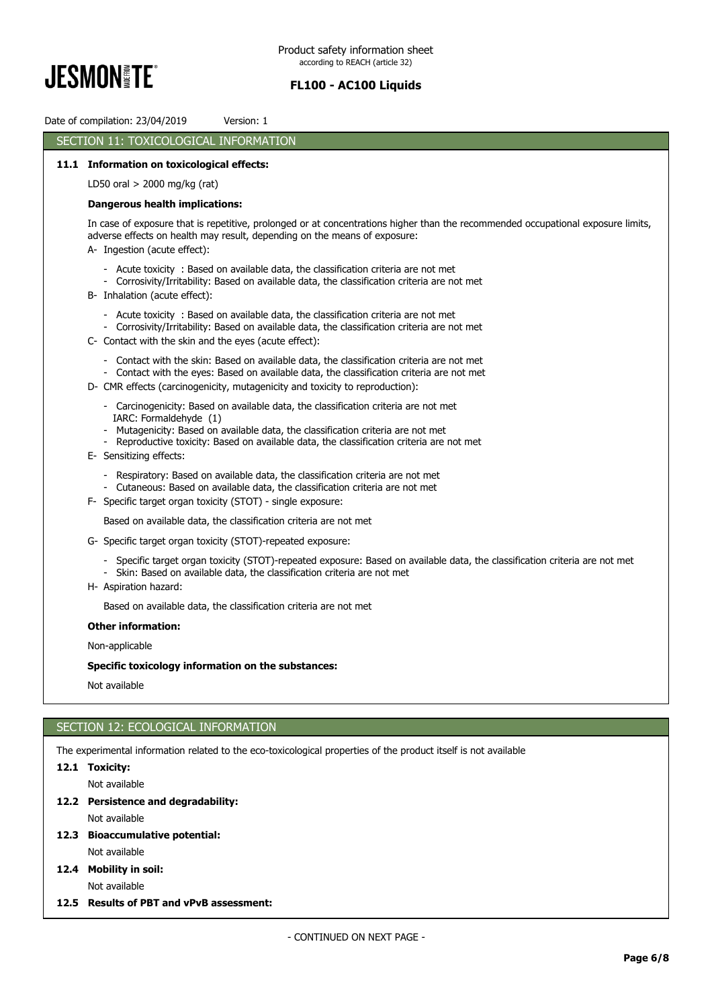

Date of compilation: 23/04/2019 Version: 1

# SECTION 11: TOXICOLOGICAL INFORMATION

# **11.1 Information on toxicological effects:**

LD50 oral > 2000 mg/kg (rat)

## **Dangerous health implications:**

In case of exposure that is repetitive, prolonged or at concentrations higher than the recommended occupational exposure limits, adverse effects on health may result, depending on the means of exposure: A- Ingestion (acute effect):

- - Acute toxicity : Based on available data, the classification criteria are not met
	- Corrosivity/Irritability: Based on available data, the classification criteria are not met
- B- Inhalation (acute effect):
	- Acute toxicity : Based on available data, the classification criteria are not met
	- Corrosivity/Irritability: Based on available data, the classification criteria are not met
- C- Contact with the skin and the eyes (acute effect):
	- Contact with the skin: Based on available data, the classification criteria are not met
	- Contact with the eyes: Based on available data, the classification criteria are not met
- D- CMR effects (carcinogenicity, mutagenicity and toxicity to reproduction):
	- Carcinogenicity: Based on available data, the classification criteria are not met IARC: Formaldehyde (1)
	- Mutagenicity: Based on available data, the classification criteria are not met
	- Reproductive toxicity: Based on available data, the classification criteria are not met
- E- Sensitizing effects:
	- Respiratory: Based on available data, the classification criteria are not met
	- Cutaneous: Based on available data, the classification criteria are not met
- F- Specific target organ toxicity (STOT) single exposure:

Based on available data, the classification criteria are not met

- G- Specific target organ toxicity (STOT)-repeated exposure:
	- Specific target organ toxicity (STOT)-repeated exposure: Based on available data, the classification criteria are not met
	- Skin: Based on available data, the classification criteria are not met
- H- Aspiration hazard:

Based on available data, the classification criteria are not met

**Other information:**

Non-applicable

## **Specific toxicology information on the substances:**

Not available

# SECTION 12: ECOLOGICAL INFORMATION

The experimental information related to the eco-toxicological properties of the product itself is not available

#### **12.1 Toxicity:**

Not available

**12.2 Persistence and degradability:**

Not available

- **12.3 Bioaccumulative potential:** Not available
- **12.4 Mobility in soil:**

Not available

**12.5 Results of PBT and vPvB assessment:**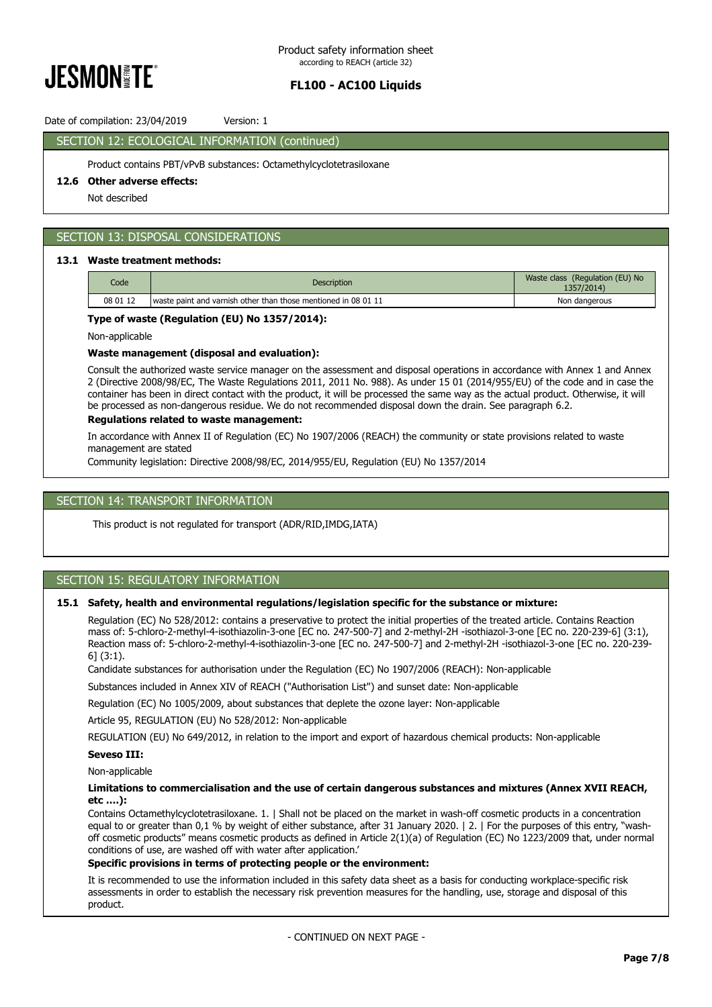

# Date of compilation: 23/04/2019 Version: 1

# SECTION 12: ECOLOGICAL INFORMATION (continued)

Product contains PBT/vPvB substances: Octamethylcyclotetrasiloxane

# **12.6 Other adverse effects:**

Not described

# SECTION 13: DISPOSAL CONSIDERATIONS

## **13.1 Waste treatment methods:**

| Code     | Description                                                    | Waste class (Regulation (EU) No<br>1357/2014) |
|----------|----------------------------------------------------------------|-----------------------------------------------|
| 08 01 12 | waste paint and varnish other than those mentioned in 08 01 11 | Non dangerous                                 |

#### **Type of waste (Regulation (EU) No 1357/2014):**

Non-applicable

#### **Waste management (disposal and evaluation):**

Consult the authorized waste service manager on the assessment and disposal operations in accordance with Annex 1 and Annex 2 (Directive 2008/98/EC, The Waste Regulations 2011, 2011 No. 988). As under 15 01 (2014/955/EU) of the code and in case the container has been in direct contact with the product, it will be processed the same way as the actual product. Otherwise, it will be processed as non-dangerous residue. We do not recommended disposal down the drain. See paragraph 6.2.

# **Regulations related to waste management:**

In accordance with Annex II of Regulation (EC) No 1907/2006 (REACH) the community or state provisions related to waste management are stated

Community legislation: Directive 2008/98/EC, 2014/955/EU, Regulation (EU) No 1357/2014

# SECTION 14: TRANSPORT INFORMATION

This product is not regulated for transport (ADR/RID,IMDG,IATA)

# SECTION 15: REGULATORY INFORMATION

#### **15.1 Safety, health and environmental regulations/legislation specific for the substance or mixture:**

Regulation (EC) No 528/2012: contains a preservative to protect the initial properties of the treated article. Contains Reaction mass of: 5-chloro-2-methyl-4-isothiazolin-3-one [EC no. 247-500-7] and 2-methyl-2H -isothiazol-3-one [EC no. 220-239-6] (3:1), Reaction mass of: 5-chloro-2-methyl-4-isothiazolin-3-one [EC no. 247-500-7] and 2-methyl-2H -isothiazol-3-one [EC no. 220-239- 6] (3:1).

Candidate substances for authorisation under the Regulation (EC) No 1907/2006 (REACH): Non-applicable

Substances included in Annex XIV of REACH ("Authorisation List") and sunset date: Non-applicable

Regulation (EC) No 1005/2009, about substances that deplete the ozone layer: Non-applicable

Article 95, REGULATION (EU) No 528/2012: Non-applicable

REGULATION (EU) No 649/2012, in relation to the import and export of hazardous chemical products: Non-applicable

# **Seveso III:**

# Non-applicable

#### **Limitations to commercialisation and the use of certain dangerous substances and mixtures (Annex XVII REACH, etc ….):**

Contains Octamethylcyclotetrasiloxane. 1. | Shall not be placed on the market in wash-off cosmetic products in a concentration equal to or greater than 0,1 % by weight of either substance, after 31 January 2020. | 2. | For the purposes of this entry, "washoff cosmetic products" means cosmetic products as defined in Article 2(1)(a) of Regulation (EC) No 1223/2009 that, under normal conditions of use, are washed off with water after application.'

## **Specific provisions in terms of protecting people or the environment:**

It is recommended to use the information included in this safety data sheet as a basis for conducting workplace-specific risk assessments in order to establish the necessary risk prevention measures for the handling, use, storage and disposal of this product.

- CONTINUED ON NEXT PAGE -